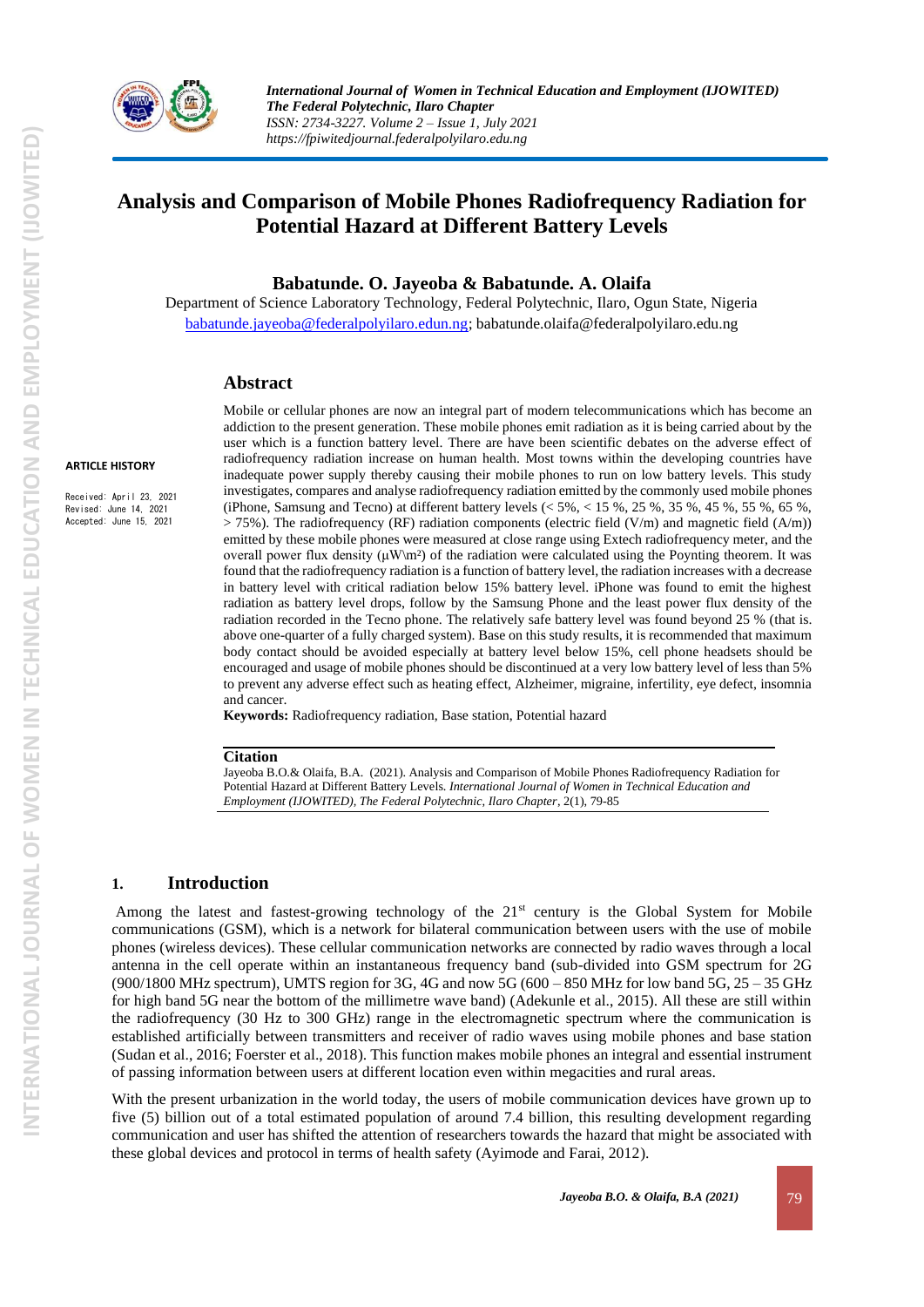

*International Journal of Women in Technical Education and Employment (IJOWITED) The Federal Polytechnic, Ilaro Chapter ISSN: 2734-3227. Volume 2 – Issue 1, July 2021 https://fpiwitedjournal.federalpolyilaro.edu.ng*

# **Analysis and Comparison of Mobile Phones Radiofrequency Radiation for Potential Hazard at Different Battery Levels**

**Babatunde. O. Jayeoba & Babatunde. A. Olaifa**

Department of Science Laboratory Technology, Federal Polytechnic, Ilaro, Ogun State, Nigeria [babatunde.jayeoba@federalpolyilaro.edun.ng;](mailto:babatunde.jayeoba@federalpolyilaro.edun.ng) babatunde.olaifa@federalpolyilaro.edu.ng

#### **Abstract**

#### **ARTICLE HISTORY**

Received: April 23, 2021 Revised: June 14, 2021 Accepted: June 15, 2021

Mobile or cellular phones are now an integral part of modern telecommunications which has become an addiction to the present generation. These mobile phones emit radiation as it is being carried about by the user which is a function battery level. There are have been scientific debates on the adverse effect of radiofrequency radiation increase on human health. Most towns within the developing countries have inadequate power supply thereby causing their mobile phones to run on low battery levels. This study investigates, compares and analyse radiofrequency radiation emitted by the commonly used mobile phones (iPhone, Samsung and Tecno) at different battery levels (< 5%, < 15 %, 25 %, 35 %, 45 %, 55 %, 65 %,  $> 75\%$ ). The radiofrequency (RF) radiation components (electric field (V/m) and magnetic field (A/m)) emitted by these mobile phones were measured at close range using Extech radiofrequency meter, and the overall power flux density  $(\mu W\backslash m^2)$  of the radiation were calculated using the Poynting theorem. It was found that the radiofrequency radiation is a function of battery level, the radiation increases with a decrease in battery level with critical radiation below 15% battery level. iPhone was found to emit the highest radiation as battery level drops, follow by the Samsung Phone and the least power flux density of the radiation recorded in the Tecno phone. The relatively safe battery level was found beyond 25 % (that is. above one-quarter of a fully charged system). Base on this study results, it is recommended that maximum body contact should be avoided especially at battery level below 15%, cell phone headsets should be encouraged and usage of mobile phones should be discontinued at a very low battery level of less than 5% to prevent any adverse effect such as heating effect, Alzheimer, migraine, infertility, eye defect, insomnia and cancer.

**Keywords:** Radiofrequency radiation, Base station, Potential hazard

#### **Citation**

Jayeoba B.O.& Olaifa, B.A. (2021). Analysis and Comparison of Mobile Phones Radiofrequency Radiation for Potential Hazard at Different Battery Levels. *International Journal of Women in Technical Education and Employment (IJOWITED), The Federal Polytechnic, Ilaro Chapter*, 2(1), 79-85

### **1. Introduction**

Among the latest and fastest-growing technology of the 21<sup>st</sup> century is the Global System for Mobile communications (GSM), which is a network for bilateral communication between users with the use of mobile phones (wireless devices). These cellular communication networks are connected by radio waves through a local antenna in the cell operate within an instantaneous frequency band (sub-divided into GSM spectrum for 2G  $(900/1800 \text{ MHz spectrum})$ , UMTS region for 3G, 4G and now 5G  $(600 - 850 \text{ MHz}$  for low band 5G, 25 – 35 GHz for high band 5G near the bottom of the millimetre wave band) (Adekunle et al., 2015). All these are still within the radiofrequency (30 Hz to 300 GHz) range in the electromagnetic spectrum where the communication is established artificially between transmitters and receiver of radio waves using mobile phones and base station (Sudan et al., 2016; Foerster et al., 2018). This function makes mobile phones an integral and essential instrument of passing information between users at different location even within megacities and rural areas.

With the present urbanization in the world today, the users of mobile communication devices have grown up to five (5) billion out of a total estimated population of around 7.4 billion, this resulting development regarding communication and user has shifted the attention of researchers towards the hazard that might be associated with these global devices and protocol in terms of health safety (Ayimode and Farai, 2012).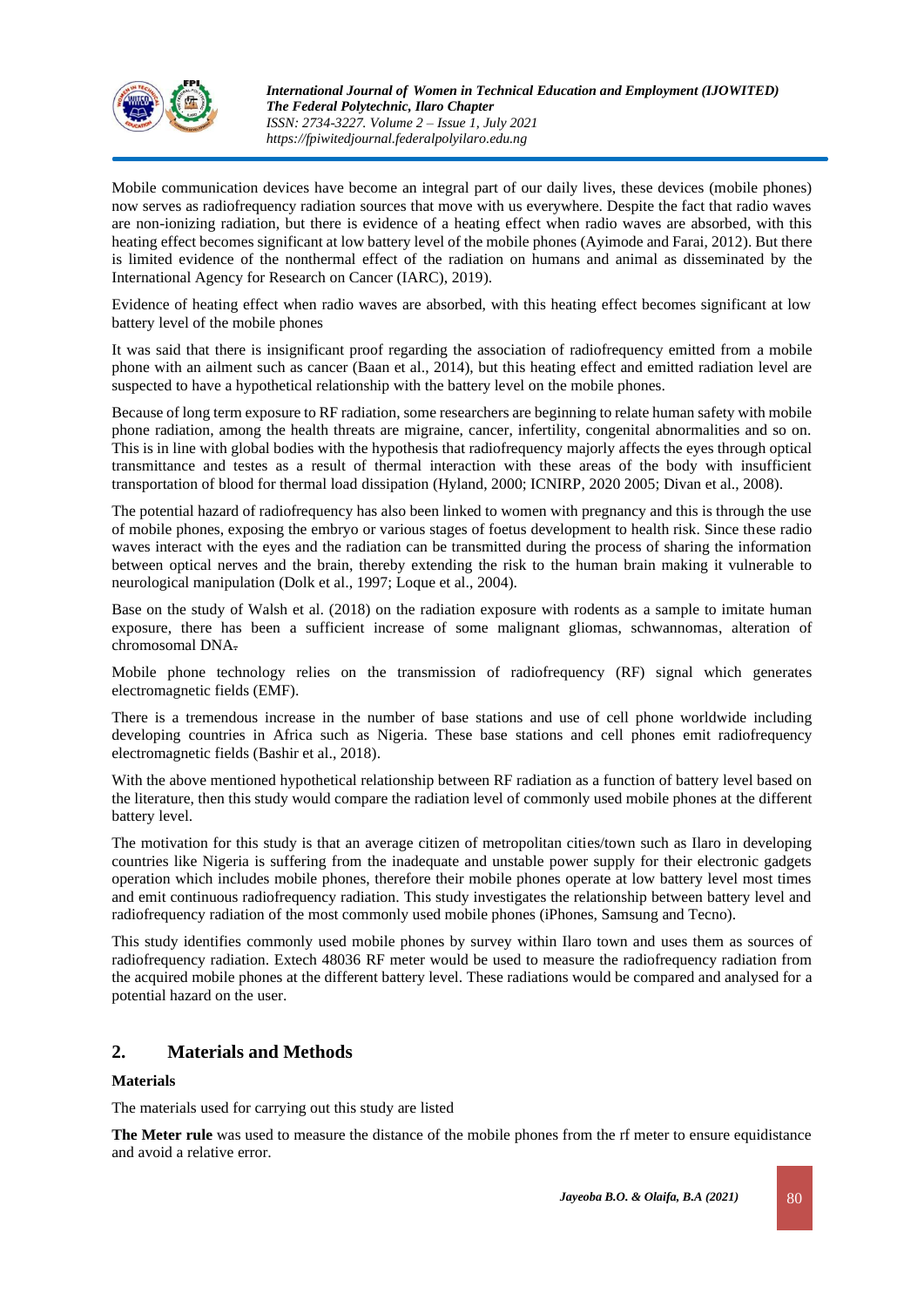

Mobile communication devices have become an integral part of our daily lives, these devices (mobile phones) now serves as radiofrequency radiation sources that move with us everywhere. Despite the fact that radio waves are non-ionizing radiation, but there is evidence of a heating effect when radio waves are absorbed, with this heating effect becomes significant at low battery level of the mobile phones (Ayimode and Farai, 2012). But there is limited evidence of the nonthermal effect of the radiation on humans and animal as disseminated by the International Agency for Research on Cancer (IARC), 2019).

Evidence of heating effect when radio waves are absorbed, with this heating effect becomes significant at low battery level of the mobile phones

It was said that there is insignificant proof regarding the association of radiofrequency emitted from a mobile phone with an ailment such as cancer (Baan et al., 2014), but this heating effect and emitted radiation level are suspected to have a hypothetical relationship with the battery level on the mobile phones.

Because of long term exposure to RF radiation, some researchers are beginning to relate human safety with mobile phone radiation, among the health threats are migraine, cancer, infertility, congenital abnormalities and so on. This is in line with global bodies with the hypothesis that radiofrequency majorly affects the eyes through optical transmittance and testes as a result of thermal interaction with these areas of the body with insufficient transportation of blood for thermal load dissipation (Hyland, 2000; ICNIRP, 2020 2005; Divan et al., 2008).

The potential hazard of radiofrequency has also been linked to women with pregnancy and this is through the use of mobile phones, exposing the embryo or various stages of foetus development to health risk. Since these radio waves interact with the eyes and the radiation can be transmitted during the process of sharing the information between optical nerves and the brain, thereby extending the risk to the human brain making it vulnerable to neurological manipulation (Dolk et al., 1997; Loque et al., 2004).

Base on the study of Walsh et al. (2018) on the radiation exposure with rodents as a sample to imitate human exposure, there has been a sufficient increase of some malignant gliomas, schwannomas, alteration of chromosomal DNA.

Mobile phone technology relies on the transmission of radiofrequency (RF) signal which generates electromagnetic fields (EMF).

There is a tremendous increase in the number of base stations and use of cell phone worldwide including developing countries in Africa such as Nigeria. These base stations and cell phones emit radiofrequency electromagnetic fields (Bashir et al., 2018).

With the above mentioned hypothetical relationship between RF radiation as a function of battery level based on the literature, then this study would compare the radiation level of commonly used mobile phones at the different battery level.

The motivation for this study is that an average citizen of metropolitan cities/town such as Ilaro in developing countries like Nigeria is suffering from the inadequate and unstable power supply for their electronic gadgets operation which includes mobile phones, therefore their mobile phones operate at low battery level most times and emit continuous radiofrequency radiation. This study investigates the relationship between battery level and radiofrequency radiation of the most commonly used mobile phones (iPhones, Samsung and Tecno).

This study identifies commonly used mobile phones by survey within Ilaro town and uses them as sources of radiofrequency radiation. Extech 48036 RF meter would be used to measure the radiofrequency radiation from the acquired mobile phones at the different battery level. These radiations would be compared and analysed for a potential hazard on the user.

### **2. Materials and Methods**

### **Materials**

The materials used for carrying out this study are listed

**The Meter rule** was used to measure the distance of the mobile phones from the rf meter to ensure equidistance and avoid a relative error.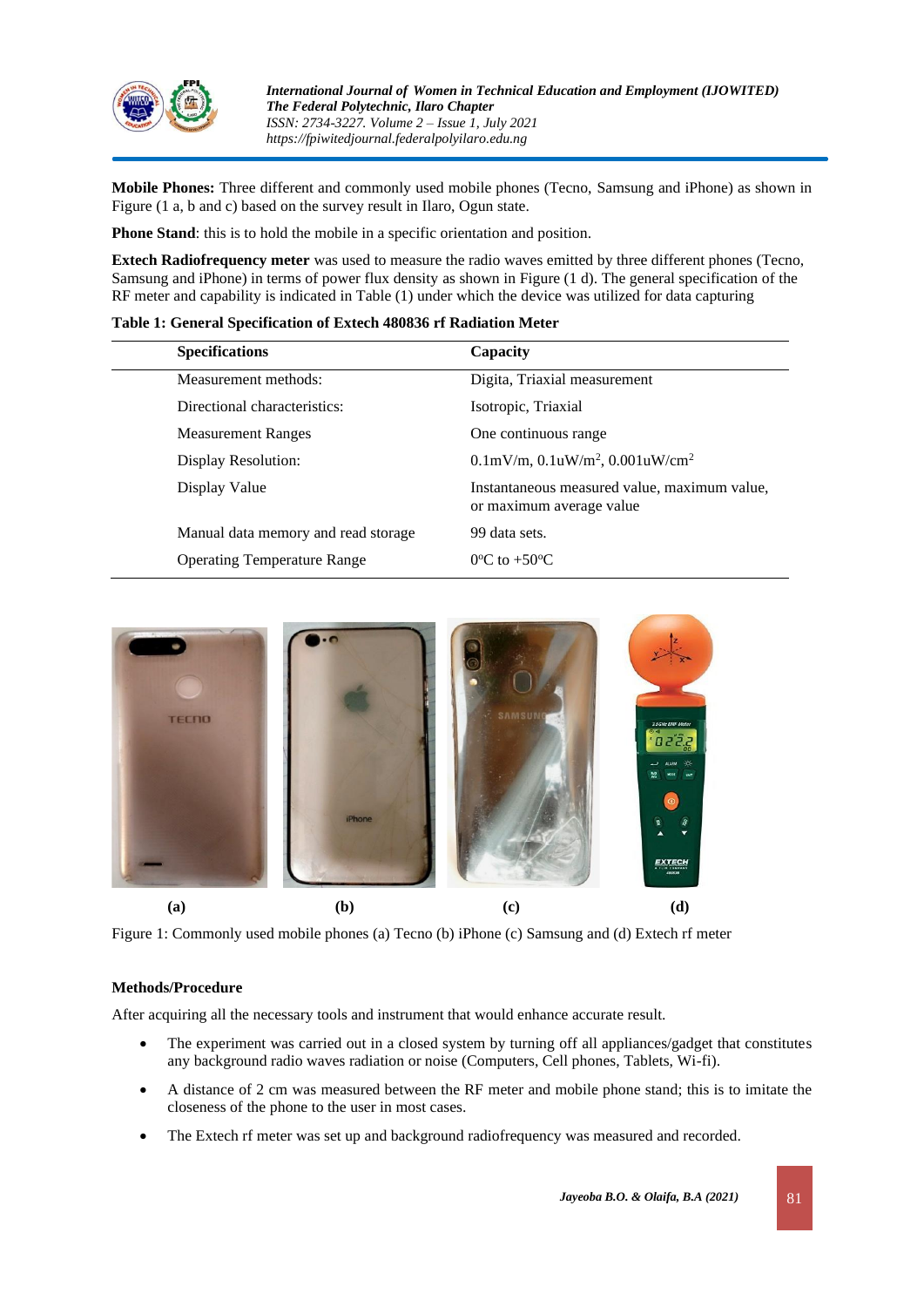

**Mobile Phones:** Three different and commonly used mobile phones (Tecno, Samsung and iPhone) as shown in Figure (1 a, b and c) based on the survey result in Ilaro, Ogun state.

**Phone Stand**: this is to hold the mobile in a specific orientation and position.

**Extech Radiofrequency meter** was used to measure the radio waves emitted by three different phones (Tecno, Samsung and iPhone) in terms of power flux density as shown in Figure (1 d). The general specification of the RF meter and capability is indicated in Table (1) under which the device was utilized for data capturing

| Table 1: General Specification of Extech 480836 rf Radiation Meter |  |
|--------------------------------------------------------------------|--|
|--------------------------------------------------------------------|--|

| <b>Specifications</b>               | Capacity                                                                 |
|-------------------------------------|--------------------------------------------------------------------------|
| Measurement methods:                | Digita, Triaxial measurement                                             |
| Directional characteristics:        | Isotropic, Triaxial                                                      |
| <b>Measurement Ranges</b>           | One continuous range                                                     |
| Display Resolution:                 | $0.1 \text{mV/m}$ , $0.1 \text{uW/m}^2$ , $0.001 \text{uW/cm}^2$         |
| Display Value                       | Instantaneous measured value, maximum value,<br>or maximum average value |
| Manual data memory and read storage | 99 data sets.                                                            |
| <b>Operating Temperature Range</b>  | $0^{\circ}$ C to $+50^{\circ}$ C                                         |
|                                     |                                                                          |



Figure 1: Commonly used mobile phones (a) Tecno (b) iPhone (c) Samsung and (d) Extech rf meter

#### **Methods/Procedure**

After acquiring all the necessary tools and instrument that would enhance accurate result.

- The experiment was carried out in a closed system by turning off all appliances/gadget that constitutes any background radio waves radiation or noise (Computers, Cell phones, Tablets, Wi-fi).
- A distance of 2 cm was measured between the RF meter and mobile phone stand; this is to imitate the closeness of the phone to the user in most cases.
- The Extech rf meter was set up and background radiofrequency was measured and recorded.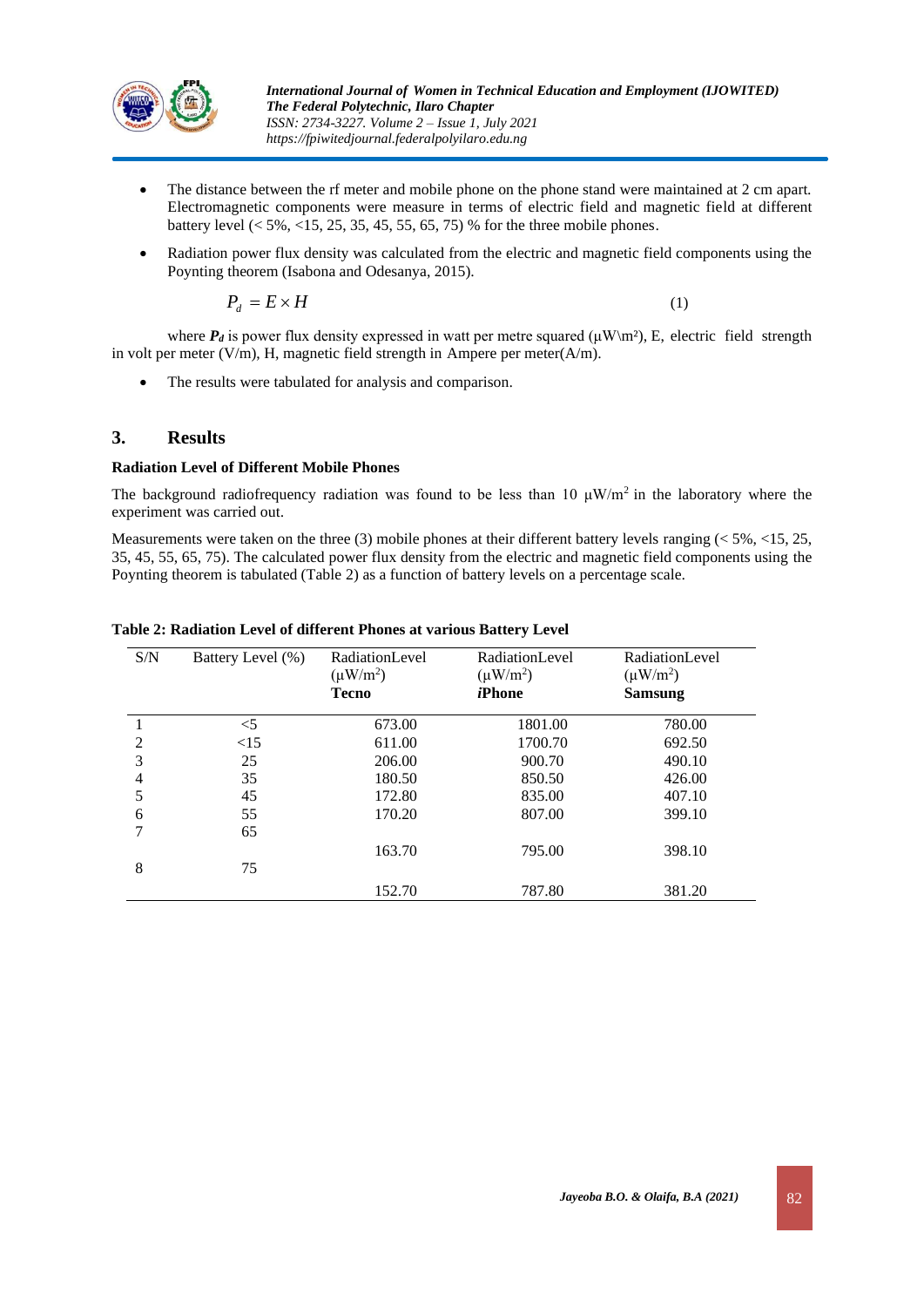

- The distance between the rf meter and mobile phone on the phone stand were maintained at 2 cm apart. Electromagnetic components were measure in terms of electric field and magnetic field at different battery level  $(< 5\%, < 15, 25, 35, 45, 55, 65, 75)$  % for the three mobile phones.
- Radiation power flux density was calculated from the electric and magnetic field components using the Poynting theorem (Isabona and Odesanya, 2015).

$$
P_d = E \times H \tag{1}
$$

where  $P_d$  is power flux density expressed in watt per metre squared ( $\mu$ W\m²), E, electric field strength in volt per meter  $(V/m)$ , H, magnetic field strength in Ampere per meter $(A/m)$ .

The results were tabulated for analysis and comparison.

### **3. Results**

### **Radiation Level of Different Mobile Phones**

The background radiofrequency radiation was found to be less than 10  $\mu$ W/m<sup>2</sup> in the laboratory where the experiment was carried out.

Measurements were taken on the three (3) mobile phones at their different battery levels ranging  $(< 5\% , < 15, 25,$ 35, 45, 55, 65, 75). The calculated power flux density from the electric and magnetic field components using the Poynting theorem is tabulated (Table 2) as a function of battery levels on a percentage scale.

| S/N | Battery Level (%) | <b>RadiationLevel</b><br>$(\mu W/m^2)$ | <b>RadiationLevel</b><br>$(\mu W/m^2)$ | <b>RadiationLevel</b><br>$(\mu W/m^2)$ |
|-----|-------------------|----------------------------------------|----------------------------------------|----------------------------------------|
|     |                   | <b>Tecno</b>                           | iPhone                                 | <b>Samsung</b>                         |
|     | $<$ 5             | 673.00                                 | 1801.00                                | 780.00                                 |
| 2   | <15               | 611.00                                 | 1700.70                                | 692.50                                 |
| 3   | 25                | 206.00                                 | 900.70                                 | 490.10                                 |
| 4   | 35                | 180.50                                 | 850.50                                 | 426.00                                 |
| 5   | 45                | 172.80                                 | 835.00                                 | 407.10                                 |
| 6   | 55                | 170.20                                 | 807.00                                 | 399.10                                 |
| 7   | 65                |                                        |                                        |                                        |
|     |                   | 163.70                                 | 795.00                                 | 398.10                                 |
| 8   | 75                |                                        |                                        |                                        |
|     |                   | 152.70                                 | 787.80                                 | 381.20                                 |

#### **Table 2: Radiation Level of different Phones at various Battery Level**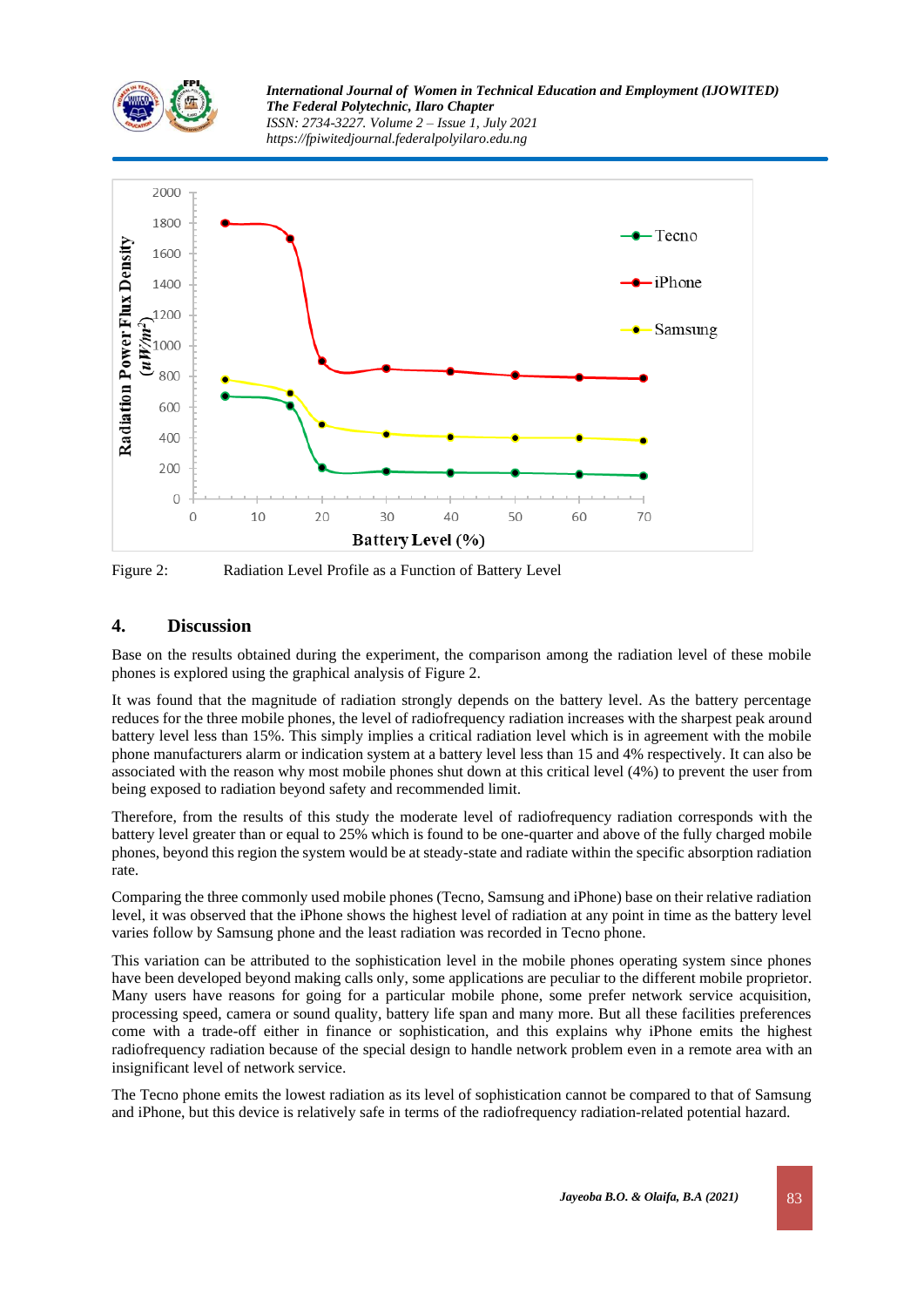

*International Journal of Women in Technical Education and Employment (IJOWITED) The Federal Polytechnic, Ilaro Chapter ISSN: 2734-3227. Volume 2 – Issue 1, July 2021 https://fpiwitedjournal.federalpolyilaro.edu.ng*



Figure 2: Radiation Level Profile as a Function of Battery Level

### **4. Discussion**

Base on the results obtained during the experiment, the comparison among the radiation level of these mobile phones is explored using the graphical analysis of Figure 2.

It was found that the magnitude of radiation strongly depends on the battery level. As the battery percentage reduces for the three mobile phones, the level of radiofrequency radiation increases with the sharpest peak around battery level less than 15%. This simply implies a critical radiation level which is in agreement with the mobile phone manufacturers alarm or indication system at a battery level less than 15 and 4% respectively. It can also be associated with the reason why most mobile phones shut down at this critical level (4%) to prevent the user from being exposed to radiation beyond safety and recommended limit.

Therefore, from the results of this study the moderate level of radiofrequency radiation corresponds with the battery level greater than or equal to 25% which is found to be one-quarter and above of the fully charged mobile phones, beyond this region the system would be at steady-state and radiate within the specific absorption radiation rate.

Comparing the three commonly used mobile phones (Tecno, Samsung and iPhone) base on their relative radiation level, it was observed that the iPhone shows the highest level of radiation at any point in time as the battery level varies follow by Samsung phone and the least radiation was recorded in Tecno phone.

This variation can be attributed to the sophistication level in the mobile phones operating system since phones have been developed beyond making calls only, some applications are peculiar to the different mobile proprietor. Many users have reasons for going for a particular mobile phone, some prefer network service acquisition, processing speed, camera or sound quality, battery life span and many more. But all these facilities preferences come with a trade-off either in finance or sophistication, and this explains why iPhone emits the highest radiofrequency radiation because of the special design to handle network problem even in a remote area with an insignificant level of network service.

The Tecno phone emits the lowest radiation as its level of sophistication cannot be compared to that of Samsung and iPhone, but this device is relatively safe in terms of the radiofrequency radiation-related potential hazard.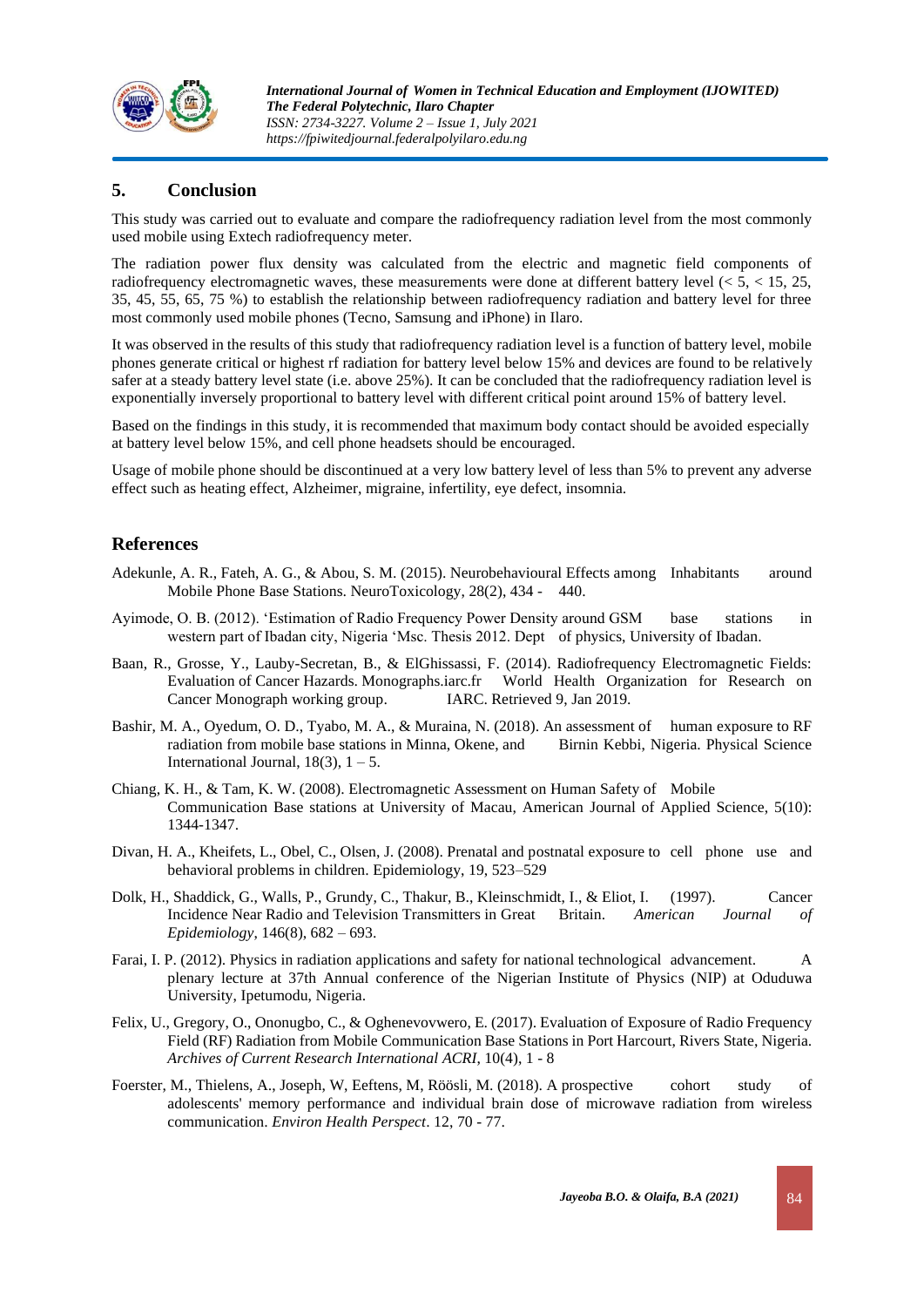

## **5. Conclusion**

This study was carried out to evaluate and compare the radiofrequency radiation level from the most commonly used mobile using Extech radiofrequency meter.

The radiation power flux density was calculated from the electric and magnetic field components of radiofrequency electromagnetic waves, these measurements were done at different battery level (< 5, < 15, 25, 35, 45, 55, 65, 75 %) to establish the relationship between radiofrequency radiation and battery level for three most commonly used mobile phones (Tecno, Samsung and iPhone) in Ilaro.

It was observed in the results of this study that radiofrequency radiation level is a function of battery level, mobile phones generate critical or highest rf radiation for battery level below 15% and devices are found to be relatively safer at a steady battery level state (i.e. above 25%). It can be concluded that the radiofrequency radiation level is exponentially inversely proportional to battery level with different critical point around 15% of battery level.

Based on the findings in this study, it is recommended that maximum body contact should be avoided especially at battery level below 15%, and cell phone headsets should be encouraged.

Usage of mobile phone should be discontinued at a very low battery level of less than 5% to prevent any adverse effect such as heating effect, Alzheimer, migraine, infertility, eye defect, insomnia.

### **References**

- Adekunle, A. R., Fateh, A. G., & Abou, S. M. (2015). Neurobehavioural Effects among Inhabitants around Mobile Phone Base Stations. NeuroToxicology, 28(2), 434 - 440.
- Ayimode, O. B. (2012). 'Estimation of Radio Frequency Power Density around GSM base stations in western part of Ibadan city, Nigeria 'Msc. Thesis 2012. Dept of physics, University of Ibadan.
- Baan, R., Grosse, Y., Lauby-Secretan, B., & ElGhissassi, F. (2014). Radiofrequency Electromagnetic Fields: Evaluation of Cancer Hazards. Monographs.iarc.fr World Health Organization for Research on Cancer Monograph working group. IARC. Retrieved 9, Jan 2019.
- Bashir, M. A., Oyedum, O. D., Tyabo, M. A., & Muraina, N. (2018). An assessment of human exposure to RF radiation from mobile base stations in Minna, Okene, and Birnin Kebbi, Nigeria. Physical Science International Journal,  $18(3)$ ,  $1 - 5$ .
- Chiang, K. H., & Tam, K. W. (2008). Electromagnetic Assessment on Human Safety of Mobile Communication Base stations at University of Macau, American Journal of Applied Science, 5(10): 1344-1347.
- Divan, H. A., Kheifets, L., Obel, C., Olsen, J. (2008). Prenatal and postnatal exposure to cell phone use and behavioral problems in children. Epidemiology, 19, 523–529
- Dolk, H., Shaddick, G., Walls, P., Grundy, C., Thakur, B., Kleinschmidt, I., & Eliot, I. (1997). Cancer Incidence Near Radio and Television Transmitters in Great Britain. *American Journal of Epidemiology*, 146(8), 682 – 693.
- Farai, I. P. (2012). Physics in radiation applications and safety for national technological advancement. A plenary lecture at 37th Annual conference of the Nigerian Institute of Physics (NIP) at Oduduwa University, Ipetumodu, Nigeria.
- Felix, U., Gregory, O., Ononugbo, C., & Oghenevovwero, E. (2017). Evaluation of Exposure of Radio Frequency Field (RF) Radiation from Mobile Communication Base Stations in Port Harcourt, Rivers State, Nigeria. *Archives of Current Research International ACRI*, 10(4), 1 - 8
- Foerster, M., Thielens, A., Joseph, W, Eeftens, M, Röösli, M. (2018). A prospective cohort study of adolescents' memory performance and individual brain dose of microwave radiation from wireless communication. *Environ Health Perspect*. 12, 70 - 77.